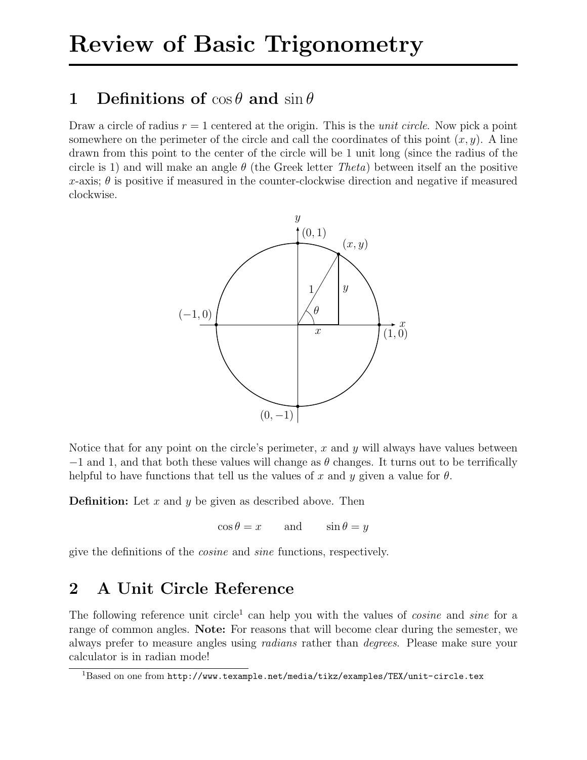# 1 Definitions of  $\cos \theta$  and  $\sin \theta$

Draw a circle of radius  $r = 1$  centered at the origin. This is the *unit circle*. Now pick a point somewhere on the perimeter of the circle and call the coordinates of this point  $(x, y)$ . A line drawn from this point to the center of the circle will be 1 unit long (since the radius of the circle is 1) and will make an angle  $\theta$  (the Greek letter Theta) between itself an the positive x-axis;  $\theta$  is positive if measured in the counter-clockwise direction and negative if measured clockwise.



Notice that for any point on the circle's perimeter,  $x$  and  $y$  will always have values between  $-1$  and 1, and that both these values will change as  $\theta$  changes. It turns out to be terrifically helpful to have functions that tell us the values of x and y given a value for  $\theta$ .

**Definition:** Let  $x$  and  $y$  be given as described above. Then

 $\cos \theta = x$  and  $\sin \theta = y$ 

give the definitions of the cosine and sine functions, respectively.

# 2 A Unit Circle Reference

The following reference unit circle<sup>1</sup> can help you with the values of *cosine* and *sine* for a range of common angles. Note: For reasons that will become clear during the semester, we always prefer to measure angles using radians rather than degrees. Please make sure your calculator is in radian mode!

 $1$ Based on one from http://www.texample.net/media/tikz/examples/TEX/unit-circle.tex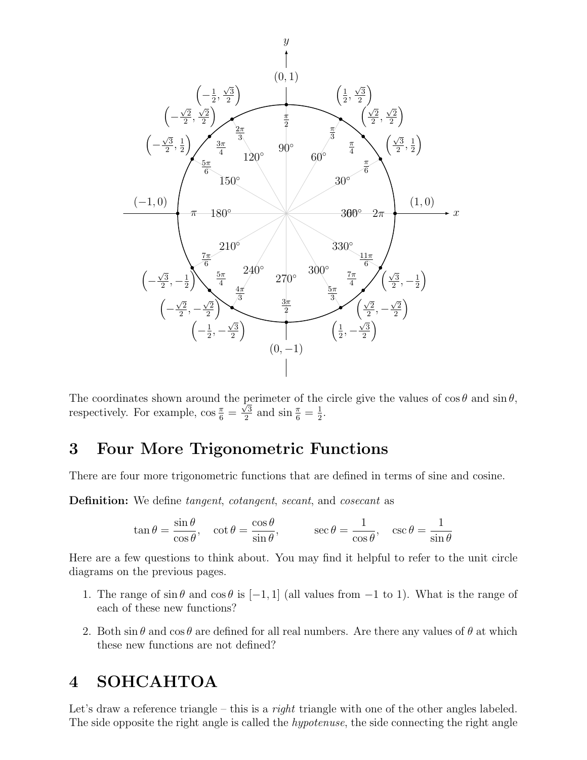

The coordinates shown around the perimeter of the circle give the values of  $\cos \theta$  and  $\sin \theta$ , respectively. For example,  $\cos \frac{\pi}{6}$  =  $\frac{1}{\sqrt{3}}$  $\frac{\sqrt{3}}{2}$  and  $\sin \frac{\pi}{6} = \frac{1}{2}$  $\frac{1}{2}$ .

## 3 Four More Trigonometric Functions

There are four more trigonometric functions that are defined in terms of sine and cosine.

Definition: We define *tangent, cotangent, secant*, and *cosecant* as

$$
\tan \theta = \frac{\sin \theta}{\cos \theta}, \quad \cot \theta = \frac{\cos \theta}{\sin \theta}, \qquad \sec \theta = \frac{1}{\cos \theta}, \quad \csc \theta = \frac{1}{\sin \theta}
$$

Here are a few questions to think about. You may find it helpful to refer to the unit circle diagrams on the previous pages.

- 1. The range of  $\sin \theta$  and  $\cos \theta$  is  $[-1, 1]$  (all values from  $-1$  to 1). What is the range of each of these new functions?
- 2. Both  $\sin \theta$  and  $\cos \theta$  are defined for all real numbers. Are there any values of  $\theta$  at which these new functions are not defined?

# 4 SOHCAHTOA

Let's draw a reference triangle – this is a *right* triangle with one of the other angles labeled. The side opposite the right angle is called the *hypotenuse*, the side connecting the right angle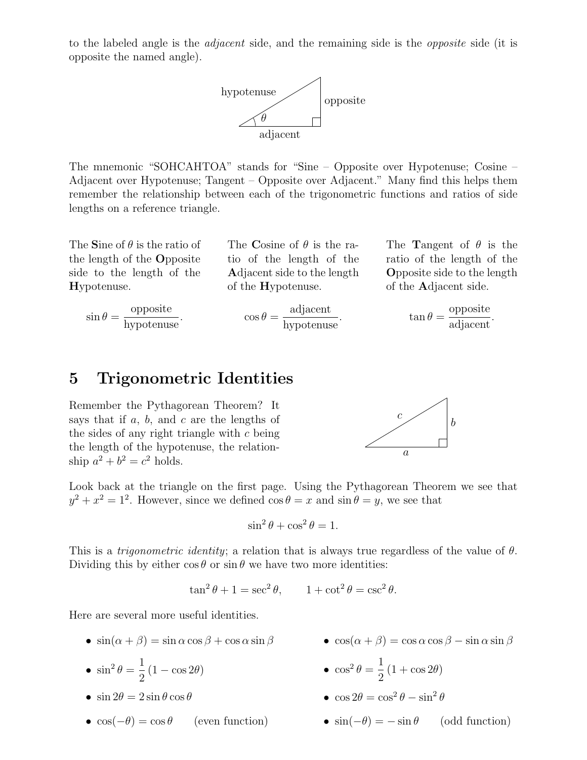to the labeled angle is the *adjacent* side, and the remaining side is the *opposite* side (it is opposite the named angle).



The mnemonic "SOHCAHTOA" stands for "Sine – Opposite over Hypotenuse; Cosine – Adjacent over Hypotenuse; Tangent – Opposite over Adjacent." Many find this helps them remember the relationship between each of the trigonometric functions and ratios of side lengths on a reference triangle.

The Sine of  $\theta$  is the ratio of the length of the Opposite side to the length of the Hypotenuse.

> opposite  $\frac{\text{opposite}}{\text{hypotenuse}}$ .

 $\sin \theta =$ 

The Cosine of  $\theta$  is the ratio of the length of the Adjacent side to the length of the Hypotenuse.

$$
\cos \theta = \frac{\text{adjacent}}{\text{hypotenuse}}.
$$

The Tangent of  $\theta$  is the ratio of the length of the Opposite side to the length of the Adjacent side.

$$
\tan \theta = \frac{\text{opposite}}{\text{adjacent}}.
$$

## 5 Trigonometric Identities

Remember the Pythagorean Theorem? It says that if  $a, b,$  and  $c$  are the lengths of the sides of any right triangle with  $c$  being the length of the hypotenuse, the relationship  $a^2 + b^2 = c^2$  holds.



Look back at the triangle on the first page. Using the Pythagorean Theorem we see that  $y^2 + x^2 = 1^2$ . However, since we defined  $\cos \theta = x$  and  $\sin \theta = y$ , we see that

$$
\sin^2\theta + \cos^2\theta = 1.
$$

This is a *trigonometric identity*; a relation that is always true regardless of the value of  $\theta$ . Dividing this by either  $\cos \theta$  or  $\sin \theta$  we have two more identities:

$$
\tan^2 \theta + 1 = \sec^2 \theta, \qquad 1 + \cot^2 \theta = \csc^2 \theta.
$$

Here are several more useful identities.

- $\sin(\alpha + \beta) = \sin \alpha \cos \beta + \cos \alpha \sin \beta$
- $\sin^2\theta =$ 1 2  $(1 - \cos 2\theta)$
- $\sin 2\theta = 2 \sin \theta \cos \theta$
- $\cos(-\theta) = \cos \theta$  (even function)
- $\cos(\alpha + \beta) = \cos \alpha \cos \beta \sin \alpha \sin \beta$
- $\cos^2\theta =$ 1 2  $(1 + \cos 2\theta)$
- $\cos 2\theta = \cos^2 \theta \sin^2 \theta$
- $\sin(-\theta) = -\sin \theta$  (odd function)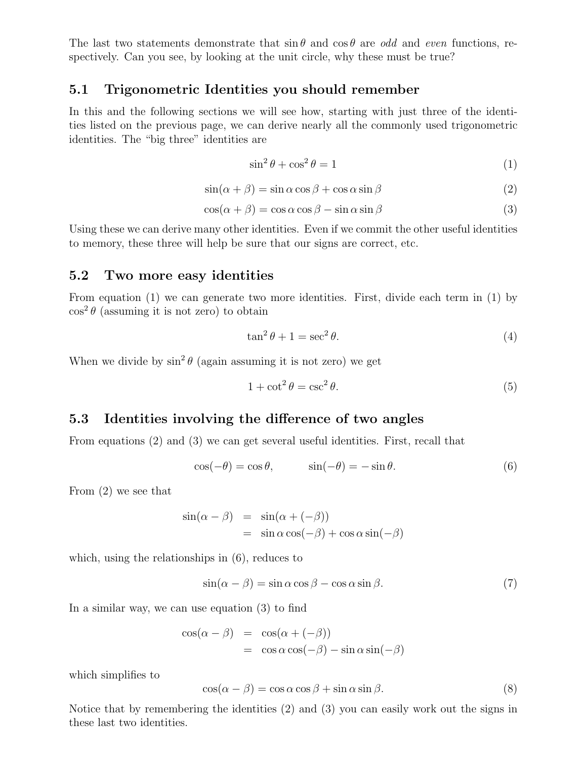The last two statements demonstrate that  $\sin \theta$  and  $\cos \theta$  are odd and even functions, respectively. Can you see, by looking at the unit circle, why these must be true?

#### 5.1 Trigonometric Identities you should remember

In this and the following sections we will see how, starting with just three of the identities listed on the previous page, we can derive nearly all the commonly used trigonometric identities. The "big three" identities are

$$
\sin^2 \theta + \cos^2 \theta = 1\tag{1}
$$

$$
\sin(\alpha + \beta) = \sin \alpha \cos \beta + \cos \alpha \sin \beta \tag{2}
$$

$$
\cos(\alpha + \beta) = \cos \alpha \cos \beta - \sin \alpha \sin \beta \tag{3}
$$

Using these we can derive many other identities. Even if we commit the other useful identities to memory, these three will help be sure that our signs are correct, etc.

#### 5.2 Two more easy identities

From equation (1) we can generate two more identities. First, divide each term in (1) by  $\cos^2\theta$  (assuming it is not zero) to obtain

$$
\tan^2 \theta + 1 = \sec^2 \theta. \tag{4}
$$

When we divide by  $\sin^2 \theta$  (again assuming it is not zero) we get

$$
1 + \cot^2 \theta = \csc^2 \theta. \tag{5}
$$

## 5.3 Identities involving the difference of two angles

From equations (2) and (3) we can get several useful identities. First, recall that

$$
\cos(-\theta) = \cos \theta, \qquad \sin(-\theta) = -\sin \theta. \tag{6}
$$

From (2) we see that

$$
\sin(\alpha - \beta) = \sin(\alpha + (-\beta))
$$
  
=  $\sin \alpha \cos(-\beta) + \cos \alpha \sin(-\beta)$ 

which, using the relationships in (6), reduces to

$$
\sin(\alpha - \beta) = \sin \alpha \cos \beta - \cos \alpha \sin \beta. \tag{7}
$$

In a similar way, we can use equation (3) to find

$$
\cos(\alpha - \beta) = \cos(\alpha + (-\beta))
$$
  
=  $\cos \alpha \cos(-\beta) - \sin \alpha \sin(-\beta)$ 

which simplifies to

$$
\cos(\alpha - \beta) = \cos \alpha \cos \beta + \sin \alpha \sin \beta. \tag{8}
$$

Notice that by remembering the identities (2) and (3) you can easily work out the signs in these last two identities.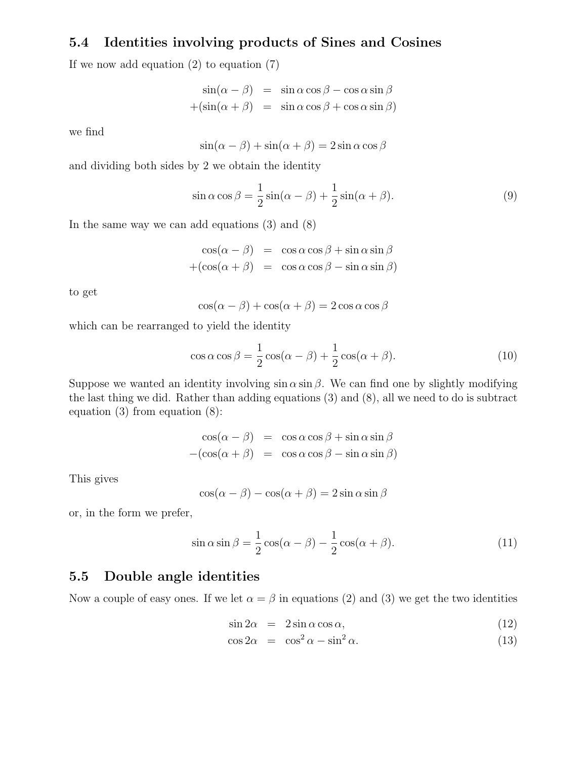## 5.4 Identities involving products of Sines and Cosines

If we now add equation  $(2)$  to equation  $(7)$ 

$$
\sin(\alpha - \beta) = \sin \alpha \cos \beta - \cos \alpha \sin \beta
$$

$$
+(\sin(\alpha + \beta) = \sin \alpha \cos \beta + \cos \alpha \sin \beta)
$$

we find

$$
\sin(\alpha - \beta) + \sin(\alpha + \beta) = 2\sin\alpha\cos\beta
$$

and dividing both sides by 2 we obtain the identity

$$
\sin \alpha \cos \beta = \frac{1}{2} \sin(\alpha - \beta) + \frac{1}{2} \sin(\alpha + \beta). \tag{9}
$$

In the same way we can add equations (3) and (8)

$$
\cos(\alpha - \beta) = \cos \alpha \cos \beta + \sin \alpha \sin \beta
$$
  
+(cos( $\alpha + \beta$ ) = cos  $\alpha$  cos  $\beta$  - sin  $\alpha$  sin  $\beta$ )

to get

$$
\cos(\alpha - \beta) + \cos(\alpha + \beta) = 2\cos\alpha\cos\beta
$$

which can be rearranged to yield the identity

$$
\cos \alpha \cos \beta = \frac{1}{2} \cos(\alpha - \beta) + \frac{1}{2} \cos(\alpha + \beta). \tag{10}
$$

Suppose we wanted an identity involving  $\sin \alpha \sin \beta$ . We can find one by slightly modifying the last thing we did. Rather than adding equations (3) and (8), all we need to do is subtract equation (3) from equation (8):

$$
\cos(\alpha - \beta) = \cos \alpha \cos \beta + \sin \alpha \sin \beta
$$
  
-(\cos(\alpha + \beta) = \cos \alpha \cos \beta - \sin \alpha \sin \beta)

This gives

$$
\cos(\alpha - \beta) - \cos(\alpha + \beta) = 2\sin\alpha\sin\beta
$$

or, in the form we prefer,

$$
\sin \alpha \sin \beta = \frac{1}{2} \cos(\alpha - \beta) - \frac{1}{2} \cos(\alpha + \beta). \tag{11}
$$

## 5.5 Double angle identities

Now a couple of easy ones. If we let  $\alpha = \beta$  in equations (2) and (3) we get the two identities

$$
\sin 2\alpha = 2\sin \alpha \cos \alpha, \tag{12}
$$

$$
\cos 2\alpha = \cos^2 \alpha - \sin^2 \alpha. \tag{13}
$$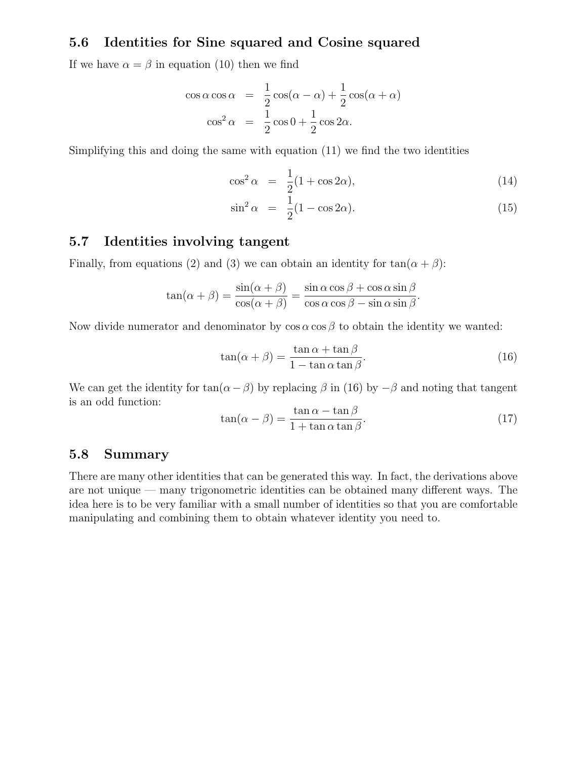#### 5.6 Identities for Sine squared and Cosine squared

If we have  $\alpha = \beta$  in equation (10) then we find

$$
\cos \alpha \cos \alpha = \frac{1}{2} \cos(\alpha - \alpha) + \frac{1}{2} \cos(\alpha + \alpha)
$$

$$
\cos^2 \alpha = \frac{1}{2} \cos 0 + \frac{1}{2} \cos 2\alpha.
$$

Simplifying this and doing the same with equation (11) we find the two identities

$$
\cos^2 \alpha = \frac{1}{2}(1 + \cos 2\alpha),\tag{14}
$$

$$
\sin^2 \alpha = \frac{1}{2}(1 - \cos 2\alpha). \tag{15}
$$

## 5.7 Identities involving tangent

Finally, from equations (2) and (3) we can obtain an identity for  $tan(\alpha + \beta)$ :

$$
\tan(\alpha + \beta) = \frac{\sin(\alpha + \beta)}{\cos(\alpha + \beta)} = \frac{\sin \alpha \cos \beta + \cos \alpha \sin \beta}{\cos \alpha \cos \beta - \sin \alpha \sin \beta}.
$$

Now divide numerator and denominator by  $\cos \alpha \cos \beta$  to obtain the identity we wanted:

$$
\tan(\alpha + \beta) = \frac{\tan \alpha + \tan \beta}{1 - \tan \alpha \tan \beta}.
$$
\n(16)

We can get the identity for  $tan(\alpha - \beta)$  by replacing  $\beta$  in (16) by  $-\beta$  and noting that tangent is an odd function:

$$
\tan(\alpha - \beta) = \frac{\tan \alpha - \tan \beta}{1 + \tan \alpha \tan \beta}.
$$
\n(17)

#### 5.8 Summary

There are many other identities that can be generated this way. In fact, the derivations above are not unique — many trigonometric identities can be obtained many different ways. The idea here is to be very familiar with a small number of identities so that you are comfortable manipulating and combining them to obtain whatever identity you need to.